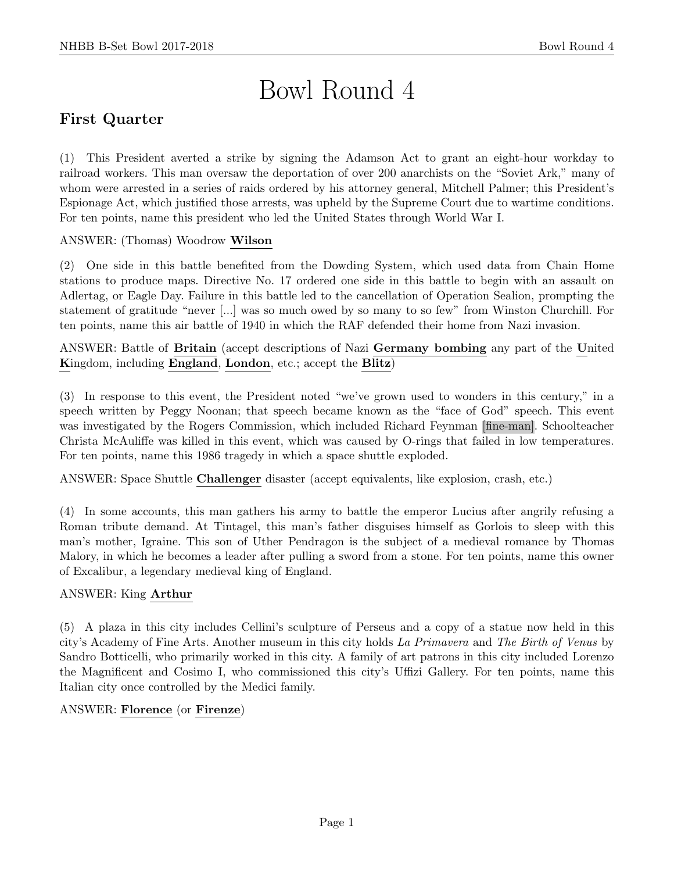# Bowl Round 4

# First Quarter

(1) This President averted a strike by signing the Adamson Act to grant an eight-hour workday to railroad workers. This man oversaw the deportation of over 200 anarchists on the "Soviet Ark," many of whom were arrested in a series of raids ordered by his attorney general, Mitchell Palmer; this President's Espionage Act, which justified those arrests, was upheld by the Supreme Court due to wartime conditions. For ten points, name this president who led the United States through World War I.

ANSWER: (Thomas) Woodrow Wilson

(2) One side in this battle benefited from the Dowding System, which used data from Chain Home stations to produce maps. Directive No. 17 ordered one side in this battle to begin with an assault on Adlertag, or Eagle Day. Failure in this battle led to the cancellation of Operation Sealion, prompting the statement of gratitude "never [...] was so much owed by so many to so few" from Winston Churchill. For ten points, name this air battle of 1940 in which the RAF defended their home from Nazi invasion.

ANSWER: Battle of Britain (accept descriptions of Nazi Germany bombing any part of the United Kingdom, including England, London, etc.; accept the Blitz)

(3) In response to this event, the President noted "we've grown used to wonders in this century," in a speech written by Peggy Noonan; that speech became known as the "face of God" speech. This event was investigated by the Rogers Commission, which included Richard Feynman [fine-man]. Schoolteacher Christa McAuliffe was killed in this event, which was caused by O-rings that failed in low temperatures. For ten points, name this 1986 tragedy in which a space shuttle exploded.

ANSWER: Space Shuttle Challenger disaster (accept equivalents, like explosion, crash, etc.)

(4) In some accounts, this man gathers his army to battle the emperor Lucius after angrily refusing a Roman tribute demand. At Tintagel, this man's father disguises himself as Gorlois to sleep with this man's mother, Igraine. This son of Uther Pendragon is the subject of a medieval romance by Thomas Malory, in which he becomes a leader after pulling a sword from a stone. For ten points, name this owner of Excalibur, a legendary medieval king of England.

## ANSWER: King Arthur

(5) A plaza in this city includes Cellini's sculpture of Perseus and a copy of a statue now held in this city's Academy of Fine Arts. Another museum in this city holds La Primavera and The Birth of Venus by Sandro Botticelli, who primarily worked in this city. A family of art patrons in this city included Lorenzo the Magnificent and Cosimo I, who commissioned this city's Uffizi Gallery. For ten points, name this Italian city once controlled by the Medici family.

## ANSWER: Florence (or Firenze)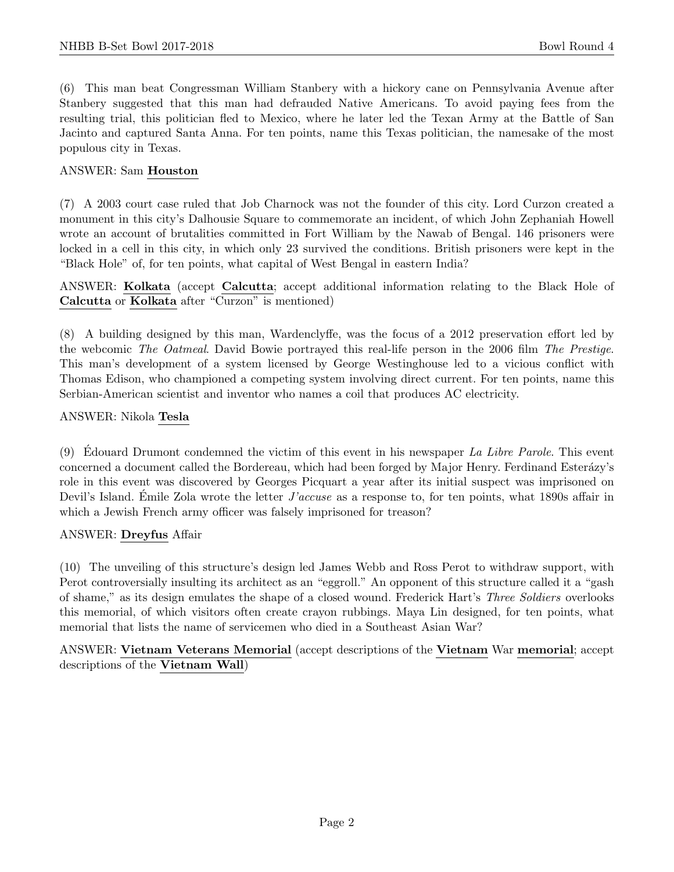(6) This man beat Congressman William Stanbery with a hickory cane on Pennsylvania Avenue after Stanbery suggested that this man had defrauded Native Americans. To avoid paying fees from the resulting trial, this politician fled to Mexico, where he later led the Texan Army at the Battle of San Jacinto and captured Santa Anna. For ten points, name this Texas politician, the namesake of the most populous city in Texas.

### ANSWER: Sam Houston

(7) A 2003 court case ruled that Job Charnock was not the founder of this city. Lord Curzon created a monument in this city's Dalhousie Square to commemorate an incident, of which John Zephaniah Howell wrote an account of brutalities committed in Fort William by the Nawab of Bengal. 146 prisoners were locked in a cell in this city, in which only 23 survived the conditions. British prisoners were kept in the "Black Hole" of, for ten points, what capital of West Bengal in eastern India?

ANSWER: Kolkata (accept Calcutta; accept additional information relating to the Black Hole of Calcutta or Kolkata after "Curzon" is mentioned)

(8) A building designed by this man, Wardenclyffe, was the focus of a 2012 preservation effort led by the webcomic The Oatmeal. David Bowie portrayed this real-life person in the 2006 film The Prestige. This man's development of a system licensed by George Westinghouse led to a vicious conflict with Thomas Edison, who championed a competing system involving direct current. For ten points, name this Serbian-American scientist and inventor who names a coil that produces AC electricity.

#### ANSWER: Nikola Tesla

(9) Edouard Drumont condemned the victim of this event in his newspaper La Libre Parole. This event concerned a document called the Bordereau, which had been forged by Major Henry. Ferdinand Esterázy's role in this event was discovered by Georges Picquart a year after its initial suspect was imprisoned on Devil's Island. Émile Zola wrote the letter  $J'accuse$  as a response to, for ten points, what 1890s affair in which a Jewish French army officer was falsely imprisoned for treason?

#### ANSWER: Dreyfus Affair

(10) The unveiling of this structure's design led James Webb and Ross Perot to withdraw support, with Perot controversially insulting its architect as an "eggroll." An opponent of this structure called it a "gash of shame," as its design emulates the shape of a closed wound. Frederick Hart's Three Soldiers overlooks this memorial, of which visitors often create crayon rubbings. Maya Lin designed, for ten points, what memorial that lists the name of servicemen who died in a Southeast Asian War?

ANSWER: Vietnam Veterans Memorial (accept descriptions of the Vietnam War memorial; accept descriptions of the Vietnam Wall)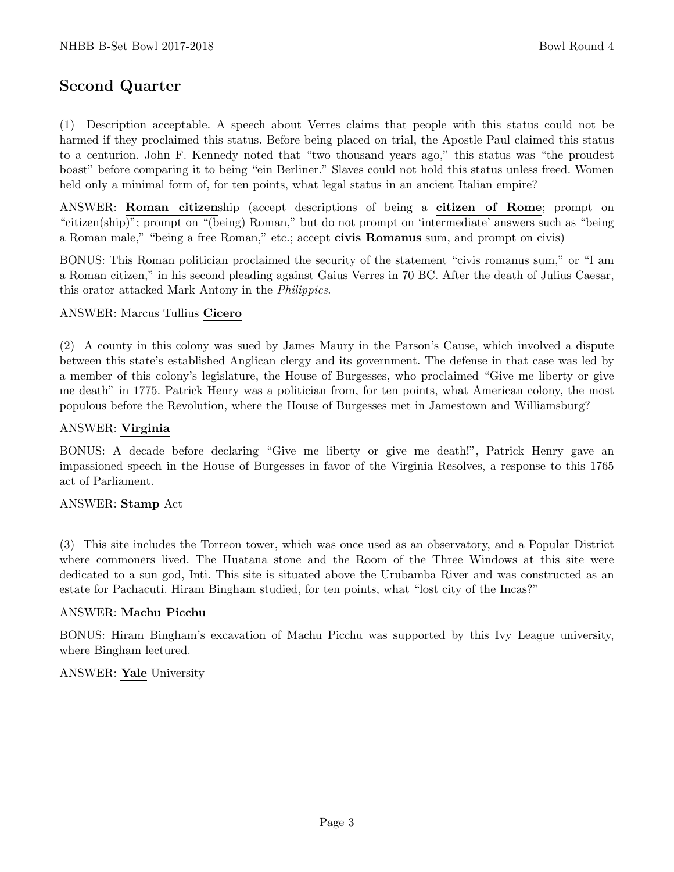# Second Quarter

(1) Description acceptable. A speech about Verres claims that people with this status could not be harmed if they proclaimed this status. Before being placed on trial, the Apostle Paul claimed this status to a centurion. John F. Kennedy noted that "two thousand years ago," this status was "the proudest boast" before comparing it to being "ein Berliner." Slaves could not hold this status unless freed. Women held only a minimal form of, for ten points, what legal status in an ancient Italian empire?

ANSWER: Roman citizenship (accept descriptions of being a citizen of Rome; prompt on "citizen(ship)"; prompt on "(being) Roman," but do not prompt on 'intermediate' answers such as "being a Roman male," "being a free Roman," etc.; accept civis Romanus sum, and prompt on civis)

BONUS: This Roman politician proclaimed the security of the statement "civis romanus sum," or "I am a Roman citizen," in his second pleading against Gaius Verres in 70 BC. After the death of Julius Caesar, this orator attacked Mark Antony in the Philippics.

#### ANSWER: Marcus Tullius Cicero

(2) A county in this colony was sued by James Maury in the Parson's Cause, which involved a dispute between this state's established Anglican clergy and its government. The defense in that case was led by a member of this colony's legislature, the House of Burgesses, who proclaimed "Give me liberty or give me death" in 1775. Patrick Henry was a politician from, for ten points, what American colony, the most populous before the Revolution, where the House of Burgesses met in Jamestown and Williamsburg?

#### ANSWER: Virginia

BONUS: A decade before declaring "Give me liberty or give me death!", Patrick Henry gave an impassioned speech in the House of Burgesses in favor of the Virginia Resolves, a response to this 1765 act of Parliament.

#### ANSWER: Stamp Act

(3) This site includes the Torreon tower, which was once used as an observatory, and a Popular District where commoners lived. The Huatana stone and the Room of the Three Windows at this site were dedicated to a sun god, Inti. This site is situated above the Urubamba River and was constructed as an estate for Pachacuti. Hiram Bingham studied, for ten points, what "lost city of the Incas?"

#### ANSWER: Machu Picchu

BONUS: Hiram Bingham's excavation of Machu Picchu was supported by this Ivy League university, where Bingham lectured.

#### ANSWER: Yale University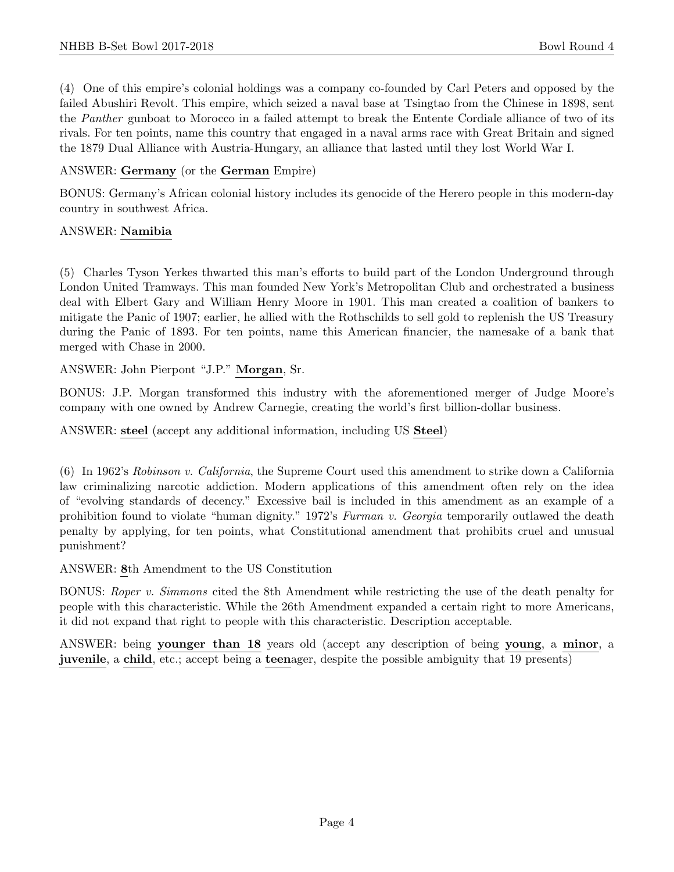(4) One of this empire's colonial holdings was a company co-founded by Carl Peters and opposed by the failed Abushiri Revolt. This empire, which seized a naval base at Tsingtao from the Chinese in 1898, sent the Panther gunboat to Morocco in a failed attempt to break the Entente Cordiale alliance of two of its rivals. For ten points, name this country that engaged in a naval arms race with Great Britain and signed the 1879 Dual Alliance with Austria-Hungary, an alliance that lasted until they lost World War I.

## ANSWER: Germany (or the German Empire)

BONUS: Germany's African colonial history includes its genocide of the Herero people in this modern-day country in southwest Africa.

## ANSWER: Namibia

(5) Charles Tyson Yerkes thwarted this man's efforts to build part of the London Underground through London United Tramways. This man founded New York's Metropolitan Club and orchestrated a business deal with Elbert Gary and William Henry Moore in 1901. This man created a coalition of bankers to mitigate the Panic of 1907; earlier, he allied with the Rothschilds to sell gold to replenish the US Treasury during the Panic of 1893. For ten points, name this American financier, the namesake of a bank that merged with Chase in 2000.

ANSWER: John Pierpont "J.P." Morgan, Sr.

BONUS: J.P. Morgan transformed this industry with the aforementioned merger of Judge Moore's company with one owned by Andrew Carnegie, creating the world's first billion-dollar business.

ANSWER: steel (accept any additional information, including US Steel)

(6) In 1962's Robinson v. California, the Supreme Court used this amendment to strike down a California law criminalizing narcotic addiction. Modern applications of this amendment often rely on the idea of "evolving standards of decency." Excessive bail is included in this amendment as an example of a prohibition found to violate "human dignity." 1972's Furman v. Georgia temporarily outlawed the death penalty by applying, for ten points, what Constitutional amendment that prohibits cruel and unusual punishment?

ANSWER: 8th Amendment to the US Constitution

BONUS: Roper v. Simmons cited the 8th Amendment while restricting the use of the death penalty for people with this characteristic. While the 26th Amendment expanded a certain right to more Americans, it did not expand that right to people with this characteristic. Description acceptable.

ANSWER: being younger than 18 years old (accept any description of being young, a minor, a juvenile, a child, etc.; accept being a teenager, despite the possible ambiguity that 19 presents)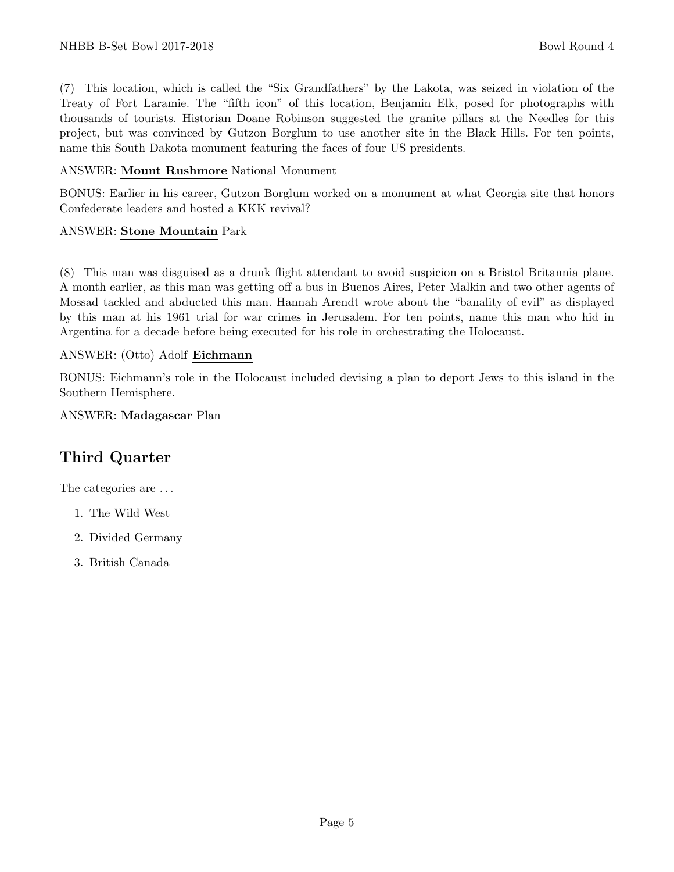(7) This location, which is called the "Six Grandfathers" by the Lakota, was seized in violation of the Treaty of Fort Laramie. The "fifth icon" of this location, Benjamin Elk, posed for photographs with thousands of tourists. Historian Doane Robinson suggested the granite pillars at the Needles for this project, but was convinced by Gutzon Borglum to use another site in the Black Hills. For ten points, name this South Dakota monument featuring the faces of four US presidents.

### ANSWER: Mount Rushmore National Monument

BONUS: Earlier in his career, Gutzon Borglum worked on a monument at what Georgia site that honors Confederate leaders and hosted a KKK revival?

#### ANSWER: Stone Mountain Park

(8) This man was disguised as a drunk flight attendant to avoid suspicion on a Bristol Britannia plane. A month earlier, as this man was getting off a bus in Buenos Aires, Peter Malkin and two other agents of Mossad tackled and abducted this man. Hannah Arendt wrote about the "banality of evil" as displayed by this man at his 1961 trial for war crimes in Jerusalem. For ten points, name this man who hid in Argentina for a decade before being executed for his role in orchestrating the Holocaust.

#### ANSWER: (Otto) Adolf Eichmann

BONUS: Eichmann's role in the Holocaust included devising a plan to deport Jews to this island in the Southern Hemisphere.

#### ANSWER: Madagascar Plan

## Third Quarter

The categories are  $\dots$ 

- 1. The Wild West
- 2. Divided Germany
- 3. British Canada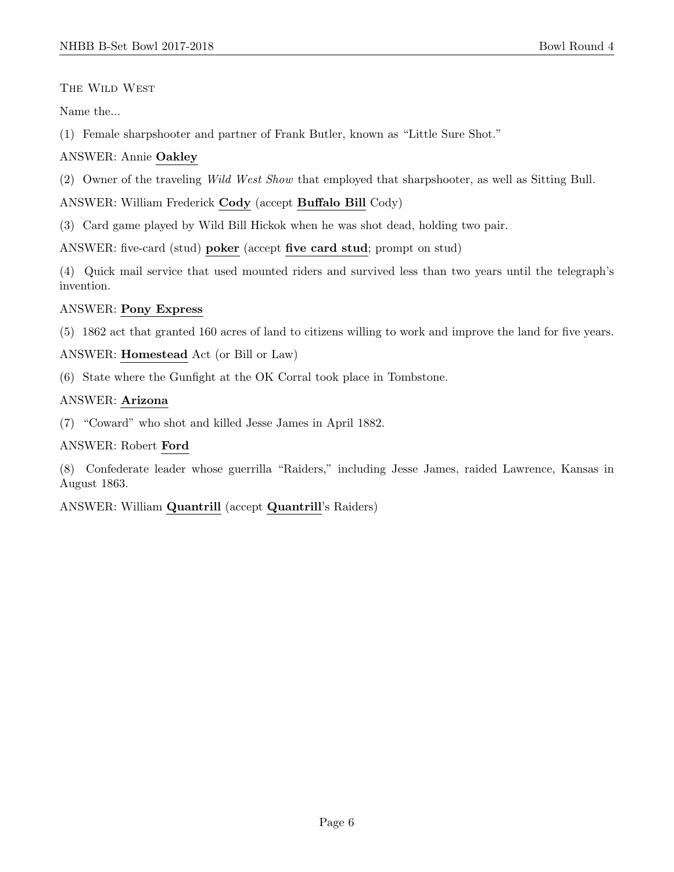The Wild West

Name the...

(1) Female sharpshooter and partner of Frank Butler, known as "Little Sure Shot."

## ANSWER: Annie Oakley

(2) Owner of the traveling Wild West Show that employed that sharpshooter, as well as Sitting Bull.

ANSWER: William Frederick Cody (accept Buffalo Bill Cody)

(3) Card game played by Wild Bill Hickok when he was shot dead, holding two pair.

ANSWER: five-card (stud) poker (accept five card stud; prompt on stud)

(4) Quick mail service that used mounted riders and survived less than two years until the telegraph's invention.

## ANSWER: Pony Express

(5) 1862 act that granted 160 acres of land to citizens willing to work and improve the land for five years.

## ANSWER: Homestead Act (or Bill or Law)

(6) State where the Gunfight at the OK Corral took place in Tombstone.

## ANSWER: Arizona

(7) "Coward" who shot and killed Jesse James in April 1882.

## ANSWER: Robert Ford

(8) Confederate leader whose guerrilla "Raiders," including Jesse James, raided Lawrence, Kansas in August 1863.

ANSWER: William Quantrill (accept Quantrill's Raiders)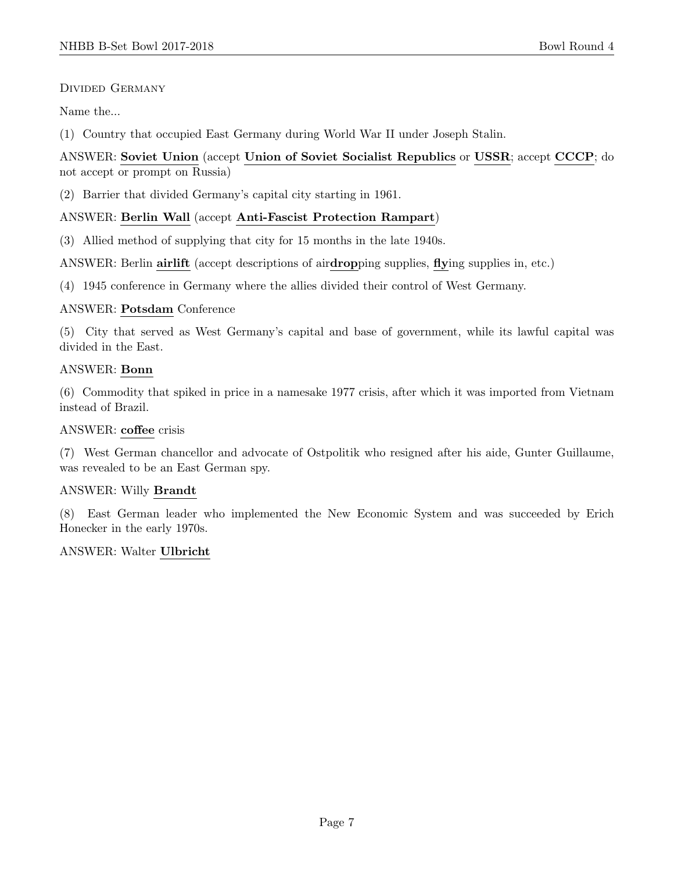## Divided Germany

Name the...

(1) Country that occupied East Germany during World War II under Joseph Stalin.

## ANSWER: Soviet Union (accept Union of Soviet Socialist Republics or USSR; accept CCCP; do not accept or prompt on Russia)

(2) Barrier that divided Germany's capital city starting in 1961.

## ANSWER: Berlin Wall (accept Anti-Fascist Protection Rampart)

(3) Allied method of supplying that city for 15 months in the late 1940s.

ANSWER: Berlin airlift (accept descriptions of airdropping supplies, flying supplies in, etc.)

(4) 1945 conference in Germany where the allies divided their control of West Germany.

#### ANSWER: Potsdam Conference

(5) City that served as West Germany's capital and base of government, while its lawful capital was divided in the East.

## ANSWER: Bonn

(6) Commodity that spiked in price in a namesake 1977 crisis, after which it was imported from Vietnam instead of Brazil.

### ANSWER: coffee crisis

(7) West German chancellor and advocate of Ostpolitik who resigned after his aide, Gunter Guillaume, was revealed to be an East German spy.

## ANSWER: Willy Brandt

(8) East German leader who implemented the New Economic System and was succeeded by Erich Honecker in the early 1970s.

## ANSWER: Walter Ulbricht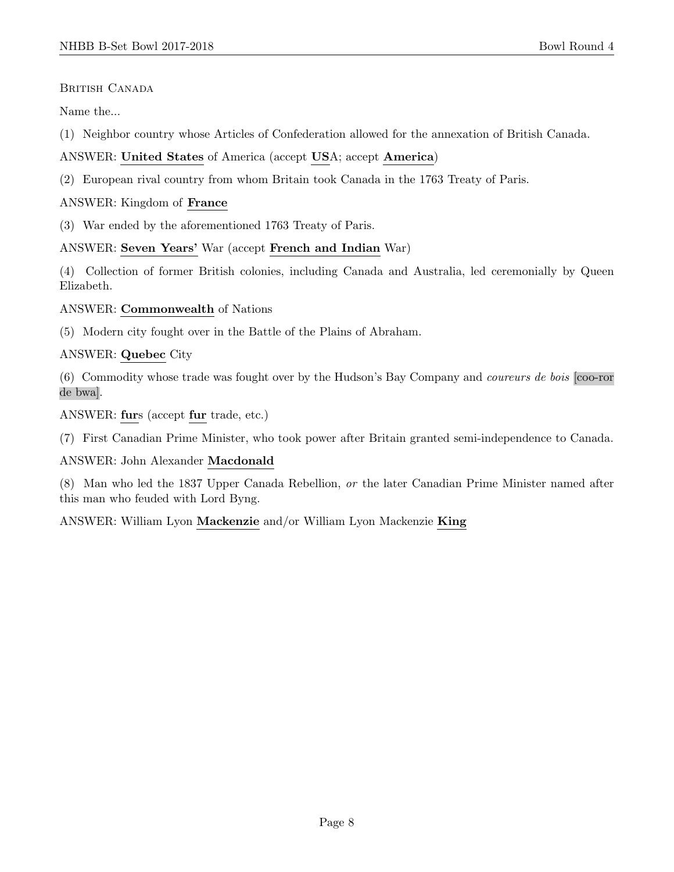#### BRITISH CANADA

Name the...

(1) Neighbor country whose Articles of Confederation allowed for the annexation of British Canada.

ANSWER: United States of America (accept USA; accept America)

(2) European rival country from whom Britain took Canada in the 1763 Treaty of Paris.

ANSWER: Kingdom of France

(3) War ended by the aforementioned 1763 Treaty of Paris.

#### ANSWER: Seven Years' War (accept French and Indian War)

(4) Collection of former British colonies, including Canada and Australia, led ceremonially by Queen Elizabeth.

#### ANSWER: Commonwealth of Nations

(5) Modern city fought over in the Battle of the Plains of Abraham.

#### ANSWER: Quebec City

(6) Commodity whose trade was fought over by the Hudson's Bay Company and coureurs de bois [coo-ror de bwa].

ANSWER: furs (accept fur trade, etc.)

(7) First Canadian Prime Minister, who took power after Britain granted semi-independence to Canada.

#### ANSWER: John Alexander Macdonald

(8) Man who led the 1837 Upper Canada Rebellion, or the later Canadian Prime Minister named after this man who feuded with Lord Byng.

ANSWER: William Lyon Mackenzie and/or William Lyon Mackenzie King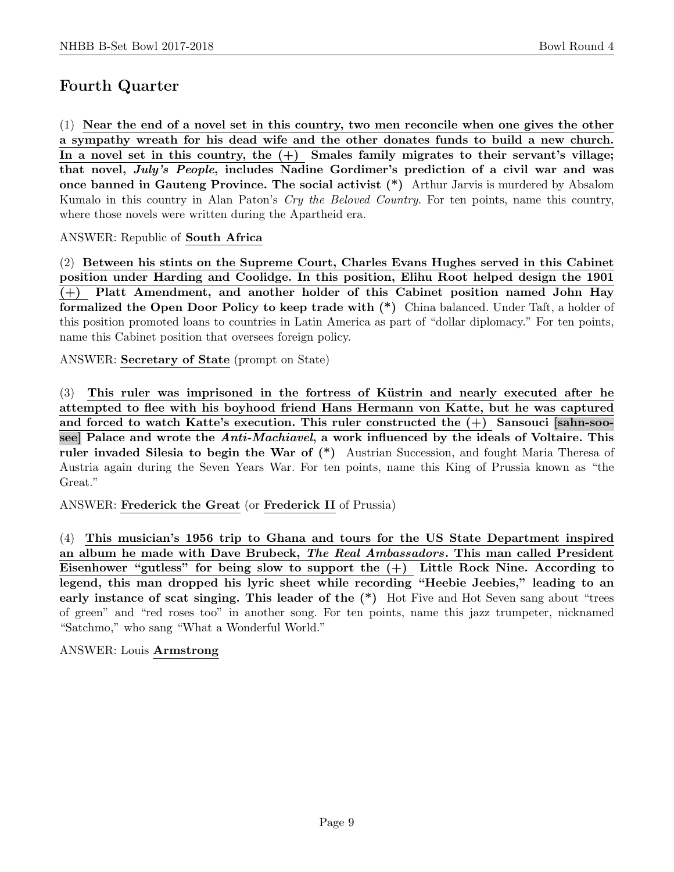# Fourth Quarter

(1) Near the end of a novel set in this country, two men reconcile when one gives the other a sympathy wreath for his dead wife and the other donates funds to build a new church. In a novel set in this country, the  $(+)$  Smales family migrates to their servant's village; that novel, July's People, includes Nadine Gordimer's prediction of a civil war and was once banned in Gauteng Province. The social activist (\*) Arthur Jarvis is murdered by Absalom Kumalo in this country in Alan Paton's Cry the Beloved Country. For ten points, name this country, where those novels were written during the Apartheid era.

ANSWER: Republic of South Africa

(2) Between his stints on the Supreme Court, Charles Evans Hughes served in this Cabinet position under Harding and Coolidge. In this position, Elihu Root helped design the 1901 (+) Platt Amendment, and another holder of this Cabinet position named John Hay formalized the Open Door Policy to keep trade with (\*) China balanced. Under Taft, a holder of this position promoted loans to countries in Latin America as part of "dollar diplomacy." For ten points, name this Cabinet position that oversees foreign policy.

ANSWER: Secretary of State (prompt on State)

 $(3)$  This ruler was imprisoned in the fortress of Küstrin and nearly executed after he attempted to flee with his boyhood friend Hans Hermann von Katte, but he was captured and forced to watch Katte's execution. This ruler constructed the  $(+)$  Sansouci [sahn-soosee] Palace and wrote the Anti-Machiavel, a work influenced by the ideals of Voltaire. This ruler invaded Silesia to begin the War of  $(*)$  Austrian Succession, and fought Maria Theresa of Austria again during the Seven Years War. For ten points, name this King of Prussia known as "the Great."

ANSWER: Frederick the Great (or Frederick II of Prussia)

(4) This musician's 1956 trip to Ghana and tours for the US State Department inspired an album he made with Dave Brubeck, The Real Ambassadors. This man called President Eisenhower "gutless" for being slow to support the  $(+)$  Little Rock Nine. According to legend, this man dropped his lyric sheet while recording "Heebie Jeebies," leading to an early instance of scat singing. This leader of the  $(*)$  Hot Five and Hot Seven sang about "trees" of green" and "red roses too" in another song. For ten points, name this jazz trumpeter, nicknamed "Satchmo," who sang "What a Wonderful World."

## ANSWER: Louis Armstrong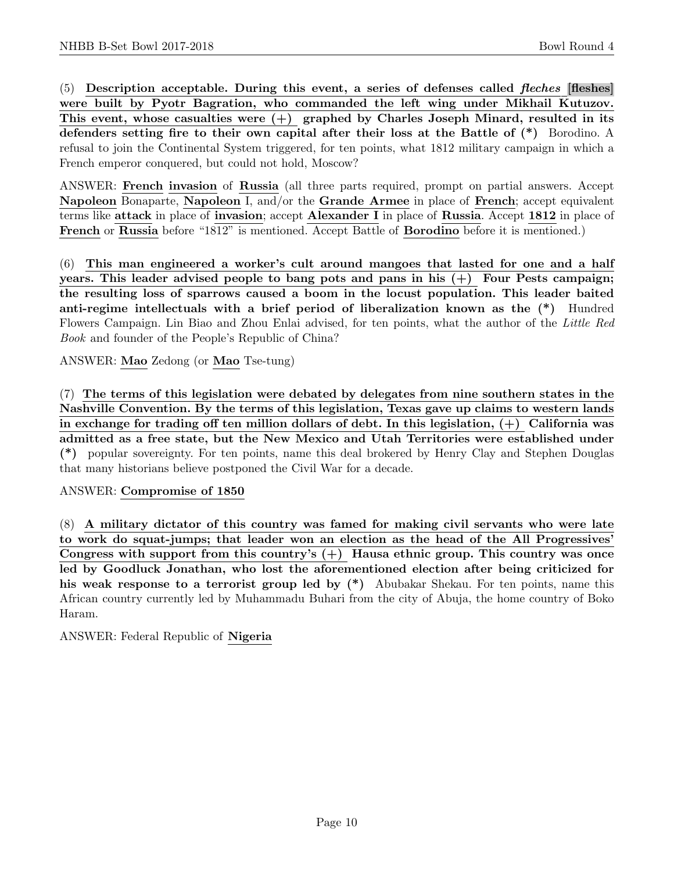$(5)$  Description acceptable. During this event, a series of defenses called *fleches* [fleshes] were built by Pyotr Bagration, who commanded the left wing under Mikhail Kutuzov. This event, whose casualties were  $(+)$  graphed by Charles Joseph Minard, resulted in its defenders setting fire to their own capital after their loss at the Battle of (\*) Borodino. A refusal to join the Continental System triggered, for ten points, what 1812 military campaign in which a French emperor conquered, but could not hold, Moscow?

ANSWER: French invasion of Russia (all three parts required, prompt on partial answers. Accept Napoleon Bonaparte, Napoleon I, and/or the Grande Armee in place of French; accept equivalent terms like attack in place of invasion; accept Alexander I in place of Russia. Accept 1812 in place of French or Russia before "1812" is mentioned. Accept Battle of Borodino before it is mentioned.)

(6) This man engineered a worker's cult around mangoes that lasted for one and a half years. This leader advised people to bang pots and pans in his  $(+)$  Four Pests campaign; the resulting loss of sparrows caused a boom in the locust population. This leader baited anti-regime intellectuals with a brief period of liberalization known as the (\*) Hundred Flowers Campaign. Lin Biao and Zhou Enlai advised, for ten points, what the author of the Little Red Book and founder of the People's Republic of China?

ANSWER: Mao Zedong (or Mao Tse-tung)

(7) The terms of this legislation were debated by delegates from nine southern states in the Nashville Convention. By the terms of this legislation, Texas gave up claims to western lands in exchange for trading off ten million dollars of debt. In this legislation,  $(+)$  California was admitted as a free state, but the New Mexico and Utah Territories were established under (\*) popular sovereignty. For ten points, name this deal brokered by Henry Clay and Stephen Douglas that many historians believe postponed the Civil War for a decade.

## ANSWER: Compromise of 1850

(8) A military dictator of this country was famed for making civil servants who were late to work do squat-jumps; that leader won an election as the head of the All Progressives' Congress with support from this country's  $(+)$  Hausa ethnic group. This country was once led by Goodluck Jonathan, who lost the aforementioned election after being criticized for his weak response to a terrorist group led by  $(*)$  Abubakar Shekau. For ten points, name this African country currently led by Muhammadu Buhari from the city of Abuja, the home country of Boko Haram.

ANSWER: Federal Republic of Nigeria